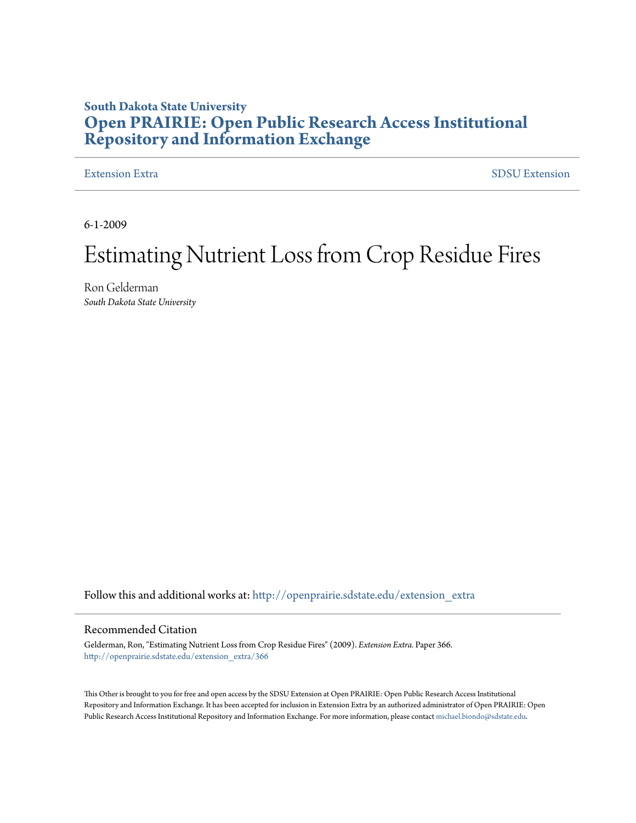## **South Dakota State University [Open PRAIRIE: Open Public Research Access Institutional](http://openprairie.sdstate.edu?utm_source=openprairie.sdstate.edu%2Fextension_extra%2F366&utm_medium=PDF&utm_campaign=PDFCoverPages) [Repository and Information Exchange](http://openprairie.sdstate.edu?utm_source=openprairie.sdstate.edu%2Fextension_extra%2F366&utm_medium=PDF&utm_campaign=PDFCoverPages)**

[Extension Extra](http://openprairie.sdstate.edu/extension_extra?utm_source=openprairie.sdstate.edu%2Fextension_extra%2F366&utm_medium=PDF&utm_campaign=PDFCoverPages)  $SDSU$  Extension

6-1-2009

# Estimating Nutrient Loss from Crop Residue Fires

Ron Gelderman *South Dakota State University*

Follow this and additional works at: [http://openprairie.sdstate.edu/extension\\_extra](http://openprairie.sdstate.edu/extension_extra?utm_source=openprairie.sdstate.edu%2Fextension_extra%2F366&utm_medium=PDF&utm_campaign=PDFCoverPages)

#### Recommended Citation

Gelderman, Ron, "Estimating Nutrient Loss from Crop Residue Fires" (2009). *Extension Extra.* Paper 366. [http://openprairie.sdstate.edu/extension\\_extra/366](http://openprairie.sdstate.edu/extension_extra/366?utm_source=openprairie.sdstate.edu%2Fextension_extra%2F366&utm_medium=PDF&utm_campaign=PDFCoverPages)

This Other is brought to you for free and open access by the SDSU Extension at Open PRAIRIE: Open Public Research Access Institutional Repository and Information Exchange. It has been accepted for inclusion in Extension Extra by an authorized administrator of Open PRAIRIE: Open Public Research Access Institutional Repository and Information Exchange. For more information, please contact [michael.biondo@sdstate.edu](mailto:michael.biondo@sdstate.edu).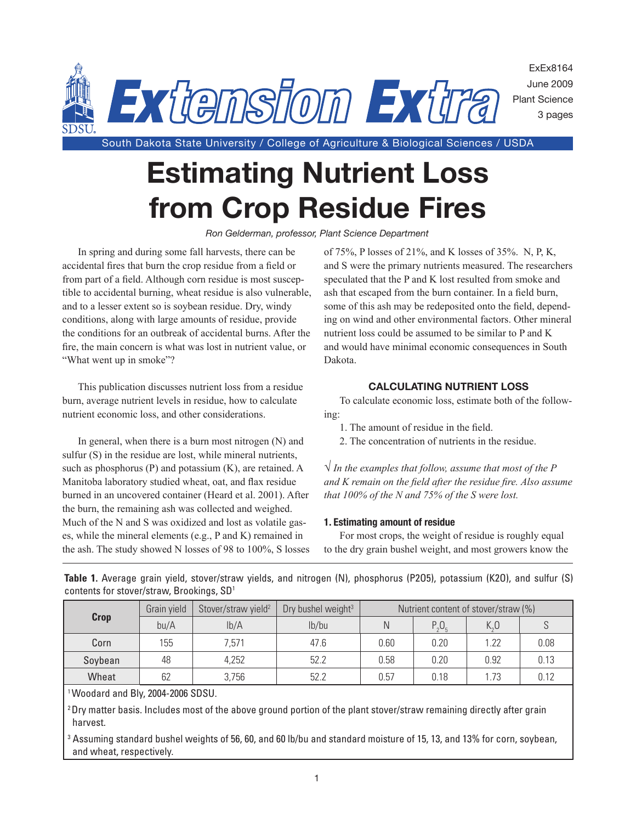

**Estimating Nutrient Loss from Crop Residue Fires**

*Ron Gelderman, professor, Plant Science Department*

In spring and during some fall harvests, there can be accidental fires that burn the crop residue from a field or from part of a field. Although corn residue is most susceptible to accidental burning, wheat residue is also vulnerable, and to a lesser extent so is soybean residue. Dry, windy conditions, along with large amounts of residue, provide the conditions for an outbreak of accidental burns. After the fire, the main concern is what was lost in nutrient value, or "What went up in smoke"?

This publication discusses nutrient loss from a residue burn, average nutrient levels in residue, how to calculate nutrient economic loss, and other considerations.

In general, when there is a burn most nitrogen (N) and sulfur (S) in the residue are lost, while mineral nutrients, such as phosphorus (P) and potassium (K), are retained. A Manitoba laboratory studied wheat, oat, and flax residue burned in an uncovered container (Heard et al. 2001). After the burn, the remaining ash was collected and weighed. Much of the N and S was oxidized and lost as volatile gases, while the mineral elements (e.g., P and K) remained in the ash. The study showed N losses of 98 to 100%, S losses of 75%, P losses of 21%, and K losses of 35%. N, P, K, and S were the primary nutrients measured. The researchers speculated that the P and K lost resulted from smoke and ash that escaped from the burn container. In a field burn, some of this ash may be redeposited onto the field, depending on wind and other environmental factors. Other mineral nutrient loss could be assumed to be similar to P and K and would have minimal economic consequences in South Dakota.

### **Calculating nutrient loss**

To calculate economic loss, estimate both of the following:

- 1. The amount of residue in the field.
- 2. The concentration of nutrients in the residue.

**√** *In the examples that follow, assume that most of the P and K remain on the field after the residue fire. Also assume that 100% of the N and 75% of the S were lost.*

#### **1. Estimating amount of residue**

For most crops, the weight of residue is roughly equal to the dry grain bushel weight, and most growers know the

| <b>Crop</b> | Grain yield | Stover/straw yield <sup>2</sup> | Dry bushel weight <sup>3</sup> | Nutrient content of stover/straw (%) |              |                                 |      |
|-------------|-------------|---------------------------------|--------------------------------|--------------------------------------|--------------|---------------------------------|------|
|             | bu/A        | lb/A                            | lb/bu                          | Ν                                    | $P_{2}O_{5}$ | $K_{\scriptscriptstyle\alpha}0$ |      |
| Corn        | 155         | 7,571                           | 47.6                           | 0.60                                 | 0.20         | 1.22                            | 0.08 |
| Soybean     | 48          | 4,252                           | 52.2                           | 0.58                                 | 0.20         | 0.92                            | 0.13 |
| Wheat       | 62          | 3,756                           | 52.2                           | 0.57                                 | 0.18         | 1.73                            | 0.12 |

**Table 1.** Average grain yield, stover/straw yields, and nitrogen (N), phosphorus (P2O5), potassium (K2O), and sulfur (S) contents for stover/straw, Brookings, SD1

1 Woodard and Bly, 2004-2006 SDSU.

 $2$  Dry matter basis. Includes most of the above ground portion of the plant stover/straw remaining directly after grain harvest.

3 Assuming standard bushel weights of 56, 60, and 60 lb/bu and standard moisture of 15, 13, and 13% for corn, soybean, and wheat, respectively.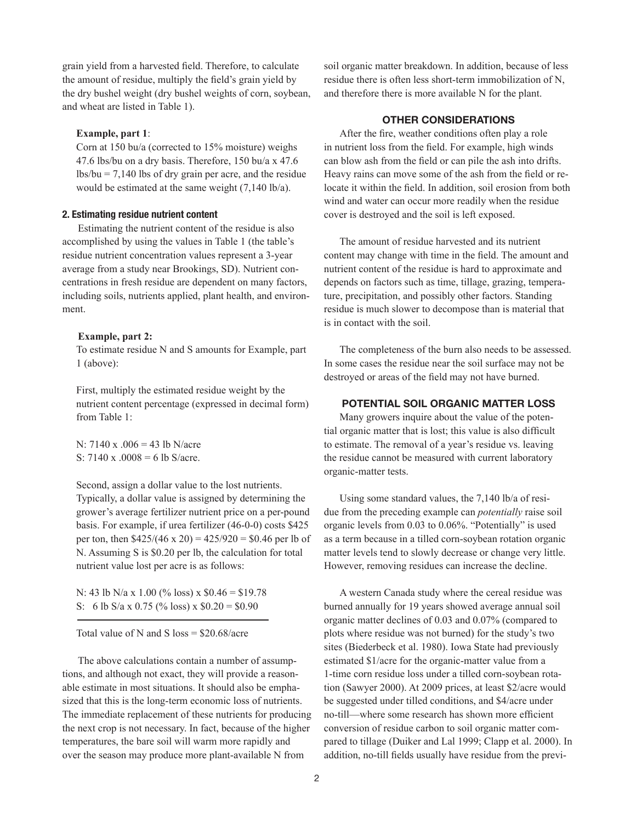grain yield from a harvested field. Therefore, to calculate the amount of residue, multiply the field's grain yield by the dry bushel weight (dry bushel weights of corn, soybean, and wheat are listed in Table 1).

#### **Example, part 1**:

Corn at 150 bu/a (corrected to 15% moisture) weighs 47.6 lbs/bu on a dry basis. Therefore, 150 bu/a x 47.6 lbs/bu = 7,140 lbs of dry grain per acre, and the residue would be estimated at the same weight (7,140 lb/a).

#### **2. Estimating residue nutrient content**

Estimating the nutrient content of the residue is also accomplished by using the values in Table 1 (the table's residue nutrient concentration values represent a 3-year average from a study near Brookings, SD). Nutrient concentrations in fresh residue are dependent on many factors, including soils, nutrients applied, plant health, and environment.

#### **Example, part 2:**

To estimate residue N and S amounts for Example, part 1 (above):

First, multiply the estimated residue weight by the nutrient content percentage (expressed in decimal form) from Table 1:

N: 7140 x .006 = 43 lb N/acre S:  $7140 \times 0.0008 = 6$  lb S/acre.

Second, assign a dollar value to the lost nutrients. Typically, a dollar value is assigned by determining the grower's average fertilizer nutrient price on a per-pound basis. For example, if urea fertilizer (46-0-0) costs \$425 per ton, then  $$425/(46 \times 20) = 425/920 = $0.46$  per lb of N. Assuming S is \$0.20 per lb, the calculation for total nutrient value lost per acre is as follows:

N: 43 lb N/a x 1.00 (% loss) x  $$0.46 = $19.78$ S: 6 lb S/a x 0.75 (% loss) x  $$0.20 = $0.90$ 

Total value of N and S  $loss = $20.68/acre$ 

The above calculations contain a number of assumptions, and although not exact, they will provide a reasonable estimate in most situations. It should also be emphasized that this is the long-term economic loss of nutrients. The immediate replacement of these nutrients for producing the next crop is not necessary. In fact, because of the higher temperatures, the bare soil will warm more rapidly and over the season may produce more plant-available N from

soil organic matter breakdown. In addition, because of less residue there is often less short-term immobilization of N, and therefore there is more available N for the plant.

#### **other considerations**

After the fire, weather conditions often play a role in nutrient loss from the field. For example, high winds can blow ash from the field or can pile the ash into drifts. Heavy rains can move some of the ash from the field or relocate it within the field. In addition, soil erosion from both wind and water can occur more readily when the residue cover is destroyed and the soil is left exposed.

The amount of residue harvested and its nutrient content may change with time in the field. The amount and nutrient content of the residue is hard to approximate and depends on factors such as time, tillage, grazing, temperature, precipitation, and possibly other factors. Standing residue is much slower to decompose than is material that is in contact with the soil.

The completeness of the burn also needs to be assessed. In some cases the residue near the soil surface may not be destroyed or areas of the field may not have burned.

#### **Potential soil organic matter loss**

Many growers inquire about the value of the potential organic matter that is lost; this value is also difficult to estimate. The removal of a year's residue vs. leaving the residue cannot be measured with current laboratory organic-matter tests.

Using some standard values, the 7,140 lb/a of residue from the preceding example can *potentially* raise soil organic levels from 0.03 to 0.06%. "Potentially" is used as a term because in a tilled corn-soybean rotation organic matter levels tend to slowly decrease or change very little. However, removing residues can increase the decline.

A western Canada study where the cereal residue was burned annually for 19 years showed average annual soil organic matter declines of 0.03 and 0.07% (compared to plots where residue was not burned) for the study's two sites (Biederbeck et al. 1980). Iowa State had previously estimated \$1/acre for the organic-matter value from a 1-time corn residue loss under a tilled corn-soybean rotation (Sawyer 2000). At 2009 prices, at least \$2/acre would be suggested under tilled conditions, and \$4/acre under no-till—where some research has shown more efficient conversion of residue carbon to soil organic matter compared to tillage (Duiker and Lal 1999; Clapp et al. 2000). In addition, no-till fields usually have residue from the previ